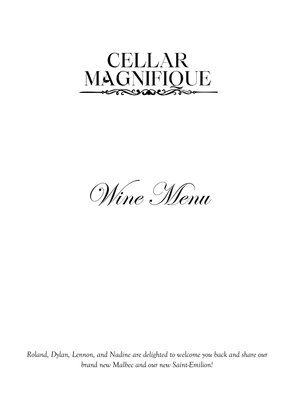



*Roland, Dylan, Lennon, and Nadine are delighted to welcome you back and share our brand new Malbec and our new Saint-Emilion!*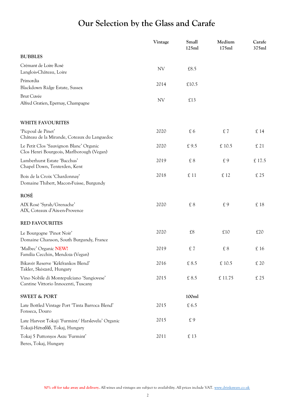# **Our Selection by the Glass and Carafe**

|                                                                                      | Vintage   | Small<br>125ml | Medium<br>175ml | Carafe<br>375ml |
|--------------------------------------------------------------------------------------|-----------|----------------|-----------------|-----------------|
| <b>BUBBLES</b>                                                                       |           |                |                 |                 |
| Crémant de Loire Rosé<br>Langlois-Château, Loire                                     | <b>NV</b> | £8.5           |                 |                 |
| Primordia<br>Blackdown Ridge Estate, Sussex                                          | 2014      | £10.5          |                 |                 |
| <b>Brut Cuvée</b><br>Alfred Gratien, Epernay, Champagne                              | NV        | £13            |                 |                 |
| <b>WHITE FAVOURITES</b>                                                              |           |                |                 |                 |
| 'Picpoul de Pinet'<br>Château de la Mirande, Coteaux du Languedoc                    | 2020      | £6             | £7              | £ 14            |
| Le Petit Clos 'Sauvignon Blanc' Organic<br>Clos Henri Bourgeois, Marlborough (Vegan) | 2020      | £9.5           | £ 10.5          | £ 21            |
| Lamberhurst Estate 'Bacchus'<br>Chapel Down, Tenterden, Kent                         | 2019      | $\pounds 8$    | £9              | £ 17.5          |
| Bois de la Croix 'Chardonnay'<br>Domaine Thibert, Macon-Fuisse, Burgundy             | 2018      | £ 11           | £ 12            | £ 25            |
| <b>ROSÉ</b>                                                                          |           |                |                 |                 |
| AIX Rosé 'Syrah/Grenache'<br>AIX, Coteaux d'Aix-en-Provence                          | 2020      | $\pounds 8$    | £9              | £18             |
| <b>RED FAVOURITES</b>                                                                |           |                |                 |                 |
| Le Bourgogne 'Pinot Noir'<br>Domaine Chanson, South Burgundy, France                 | 2020      | $\pounds 8$    | £10             | £20             |
| 'Malbec' Organic NEW!<br>Familia Cecchin, Mendoza (Vegan)                            | 2019      | £7             | £ 8             | $\pounds$ 16    |
| Bikavér Reserve 'Kékfrankos Blend'<br>Takler, Skészard, Hungary                      | 2016      | £ 8.5          | £ 10.5          | £ 20            |
| Vino Nobile di Montepulciano 'Sangiovese'<br>Cantine Vittorio Innocenti, Tuscany     | 2015      | £ 8.5          | £ 11.75         | £25             |
| <b>SWEET &amp; PORT</b>                                                              |           | 100ml          |                 |                 |
| Late Bottled Vintage Port 'Tinta Barroca Blend'<br>Fonseca, Douro                    | 2015      | £ 6.5          |                 |                 |
| Late Harvest Tokaji 'Furmint/ Harslevelu' Organic<br>Tokaji-Hétszőlő, Tokaj, Hungary | 2015      | £9             |                 |                 |
| Tokaj 5 Puttonyos Aszu 'Furmint'<br>Beres, Tokaj, Hungary                            | 2011      | £ 13           |                 |                 |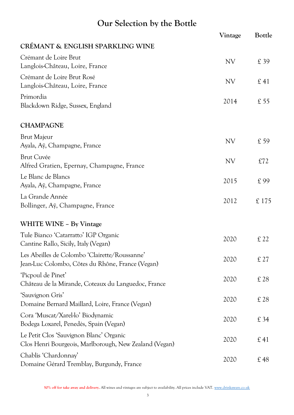# **Our Selection by the Bottle**

|                                                                                                   | Vintage   | Bottle |
|---------------------------------------------------------------------------------------------------|-----------|--------|
| CRÉMANT & ENGLISH SPARKLING WINE                                                                  |           |        |
| Crémant de Loire Brut<br>Langlois-Château, Loire, France                                          | <b>NV</b> | £39    |
| Crémant de Loire Brut Rosé<br>Langlois-Château, Loire, France                                     | <b>NV</b> | £41    |
| Primordia<br>Blackdown Ridge, Sussex, England                                                     | 2014      | £55    |
| <b>CHAMPAGNE</b>                                                                                  |           |        |
| <b>Brut Majeur</b><br>Ayala, Aÿ, Champagne, France                                                | <b>NV</b> | £59    |
| <b>Brut Cuvée</b><br>Alfred Gratien, Epernay, Champagne, France                                   | <b>NV</b> | £72    |
| Le Blanc de Blancs<br>Ayala, Aÿ, Champagne, France                                                | 2015      | £ 99   |
| La Grande Année<br>Bollinger, Ay, Champagne, France                                               | 2012      | £175   |
| <b>WHITE WINE - By Vintage</b>                                                                    |           |        |
| Tule Bianco 'Catarratto' IGP Organic<br>Cantine Rallo, Sicily, Italy (Vegan)                      | 2020      | £22    |
| Les Abeilles de Colombo 'Clairette/Roussanne'<br>Jean-Luc Colombo, Côtes du Rhône, France (Vegan) | 2020      | £27    |
| 'Picpoul de Pinet'<br>Château de la Mirande, Coteaux du Languedoc, France                         | 2020      | £28    |
| 'Sauvignon Gris'<br>Domaine Bernard Maillard, Loire, France (Vegan)                               | 2020      | £28    |
| Cora 'Muscat/Xarel-lo' Biodynamic<br>Bodega Loxarel, Penedès, Spain (Vegan)                       | 2020      | £34    |
| Le Petit Clos 'Sauvignon Blanc' Organic<br>Clos Henri Bourgeois, Marlborough, New Zealand (Vegan) | 2020      | £41    |
| Chablis 'Chardonnay'<br>Domaine Gérard Tremblay, Burgundy, France                                 | 2020      | £48    |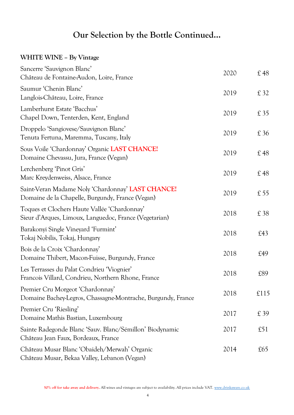#### **WHITE WINE – By Vintage**

| Sancerre 'Sauvignon Blanc'<br>Château de Fontaine-Audon, Loire, France                                 | 2020 | £48  |
|--------------------------------------------------------------------------------------------------------|------|------|
| Saumur 'Chenin Blanc'<br>Langlois-Château, Loire, France                                               | 2019 | £ 32 |
| Lamberhurst Estate 'Bacchus'<br>Chapel Down, Tenterden, Kent, England                                  | 2019 | £ 35 |
| Droppelo 'Sangiovese/Sauvignon Blanc'<br>Tenuta Fertuna, Maremma, Tuscany, Italy                       | 2019 | £36  |
| Sous Voile 'Chardonnay' Organic LAST CHANCE!<br>Domaine Chevassu, Jura, France (Vegan)                 | 2019 | £48  |
| Lerchenberg 'Pinot Gris'<br>Marc Kreydenweiss, Alsace, France                                          | 2019 | £48  |
| Saint-Veran Madame Noly 'Chardonnay' LAST CHANCE!<br>Domaine de la Chapelle, Burgundy, France (Vegan)  | 2019 | £55  |
| Toques et Clochers Haute Vallée 'Chardonnay'<br>Sieur d'Arques, Limoux, Languedoc, France (Vegetarian) | 2018 | £ 38 |
| Barakonyi Single Vineyard 'Furmint'<br>Tokaj Nobilis, Tokaj, Hungary                                   | 2018 | £43  |
| Bois de la Croix 'Chardonnay'<br>Domaine Thibert, Macon-Fuisse, Burgundy, France                       | 2018 | £49  |
| Les Terrasses du Palat Condrieu 'Viognier'<br>Francois Villard, Condrieu, Northern Rhone, France       | 2018 | £89  |
| Premier Cru Morgeot 'Chardonnay'<br>Domaine Bachey-Legros, Chassagne-Montrache, Burgundy, France       | 2018 | £115 |
| Premier Cru 'Riesling'<br>Domaine Mathis Bastian, Luxembourg                                           | 2017 | £39  |
| Sainte Radegonde Blanc 'Sauv. Blanc/Sémillon' Biodynamic<br>Château Jean Faux, Bordeaux, France        | 2017 | £51  |
| Château Musar Blanc 'Obaideh/Merwah' Organic<br>Château Musar, Bekaa Valley, Lebanon (Vegan)           | 2014 | £65  |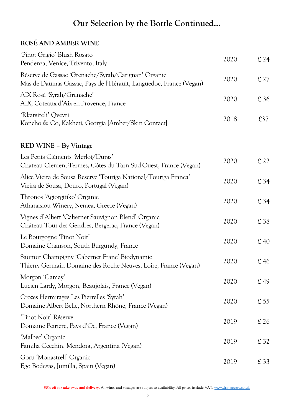#### **ROSÉ AND AMBER WINE**

| 'Pinot Grigio' Blush Rosato<br>Pendenza, Venice, Trivento, Italy                                                          | 2020 | £ 24 |
|---------------------------------------------------------------------------------------------------------------------------|------|------|
| Réserve de Gassac 'Grenache/Syrah/Carignan' Organic<br>Mas de Daumas Gassac, Pays de l'Hérault, Languedoc, France (Vegan) | 2020 | £27  |
| AIX Rosé 'Syrah/Grenache'<br>AIX, Coteaux d'Aix-en-Provence, France                                                       | 2020 | £ 36 |
| 'Rkatsiteli' Qvevri<br>Koncho & Co, Kakheti, Georgia [Amber/Skin Contact]                                                 | 2018 | £37  |
| RED WINE - By Vintage                                                                                                     |      |      |
| Les Petits Cléments 'Merlot/Duras'<br>Chateau Clement-Termes, Côtes du Tarn Sud-Ouest, France (Vegan)                     | 2020 | £22  |
| Alice Vieira de Sousa Reserve 'Touriga National/Touriga Franca'<br>Vieira de Sousa, Douro, Portugal (Vegan)               | 2020 | £34  |
| Thronos 'Agiorgitiko' Organic<br>Athanasiou Winery, Nemea, Greece (Vegan)                                                 | 2020 | £ 34 |
| Vignes d'Albert 'Cabernet Sauvignon Blend' Organic<br>Château Tour des Gendres, Bergerac, France (Vegan)                  | 2020 | £ 38 |
| Le Bourgogne 'Pinot Noir'<br>Domaine Chanson, South Burgundy, France                                                      | 2020 | £40  |
| Saumur Champigny 'Cabernet Franc' Biodynamic<br>Thierry Germain Domaine des Roche Neuves, Loire, France (Vegan)           | 2020 | £46  |
| Morgon 'Gamay'<br>Lucien Lardy, Morgon, Beaujolais, France (Vegan)                                                        | 2020 | £49  |
| Crozes Hermitages Les Pierrelles 'Syrah'<br>Domaine Albert Belle, Northern Rhône, France (Vegan)                          | 2020 | £55  |
| 'Pinot Noir' Réserve<br>Domaine Peiriere, Pays d'Oc, France (Vegan)                                                       | 2019 | £26  |
| 'Malbec' Organic<br>Familia Cecchin, Mendoza, Argentina (Vegan)                                                           | 2019 | £ 32 |
| Goru 'Monastrell' Organic<br>Ego Bodegas, Jumilla, Spain (Vegan)                                                          | 2019 | £33  |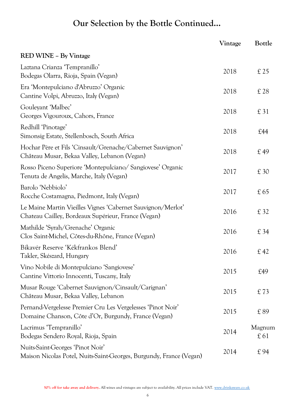|                                                                                                                     | Vintage | Bottle        |
|---------------------------------------------------------------------------------------------------------------------|---------|---------------|
| <b>RED WINE - By Vintage</b>                                                                                        |         |               |
| Laztana Crianza 'Tempranillo'<br>Bodegas Olarra, Rioja, Spain (Vegan)                                               | 2018    | £25           |
| Era 'Montepulciano d'Abruzzo' Organic<br>Cantine Volpi, Abruzzo, Italy (Vegan)                                      | 2018    | £28           |
| Gouleyant 'Malbec'<br>Georges Vigouroux, Cahors, France                                                             | 2018    | £31           |
| Redhill 'Pinotage'<br>Simonsig Estate, Stellenbosch, South Africa                                                   | 2018    | £44           |
| Hochar Père et Fils 'Cinsault/Grenache/Cabernet Sauvignon'<br>Château Musar, Bekaa Valley, Lebanon (Vegan)          | 2018    | £49           |
| Rosso Piceno Superiore 'Montepulciano/ Sangiovese' Organic<br>Tenuta de Angelis, Marche, Italy (Vegan)              | 2017    | £30           |
| Barolo 'Nebbiolo'<br>Rocche Costamagna, Piedmont, Italy (Vegan)                                                     | 2017    | £65           |
| Le Maine Martin Vieilles Vignes 'Cabernet Sauvignon/Merlot'<br>Chateau Cailley, Bordeaux Supérieur, France (Vegan)  | 2016    | £ 32          |
| Mathilde 'Syrah/Grenache' Organic<br>Clos Saint-Michel, Côtes-du-Rhône, France (Vegan)                              | 2016    | £34           |
| Bikavér Reserve 'Kékfrankos Blend'<br>Takler, Skészard, Hungary                                                     | 2016    | £42           |
| Vino Nobile di Montepulciano 'Sangiovese'<br>Cantine Vittorio Innocenti, Tuscany, Italy                             | 2015    | £49           |
| Musar Rouge 'Cabernet Sauvignon/Cinsault/Carignan'<br>Château Musar, Bekaa Valley, Lebanon                          | 2015    | £73           |
| Pernand-Vergelesse Premier Cru Les Vergelesses 'Pinot Noir'<br>Domaine Chanson, Côte d'Or, Burgundy, France (Vegan) | 2015    | £89           |
| Lacrimus 'Tempranillo'<br>Bodegas Sendero Royal, Rioja, Spain                                                       | 2014    | Magnum<br>£61 |
| Nuits-Saint-Georges 'Pinot Noir'<br>Maison Nicolas Potel, Nuits-Saint-Georges, Burgundy, France (Vegan)             | 2014    | £94           |